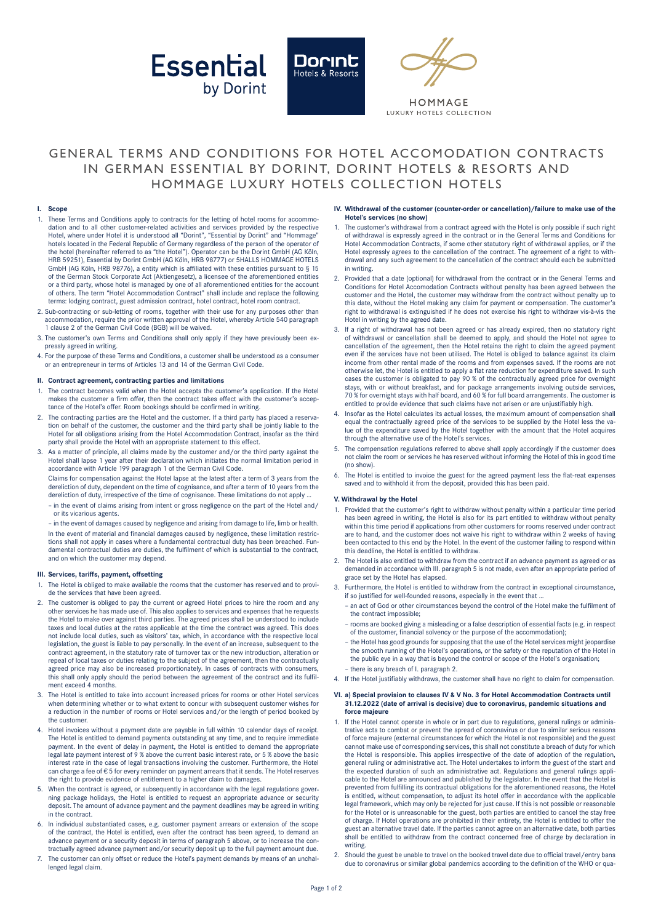





HOMMAGE **ILIXURY HOTELS COLLECTION** 

## GENERAL TERMS AND CONDITIONS FOR HOTEL ACCOMODATION CONTRACTS IN GERMAN ESSENTIAL BY DORINT, DORINT HOTELS & RESORTS AND HOMMAGE LUXURY HOTELS COLLECTION HOTELS

## **I. Scope**

- 1. These Terms and Conditions apply to contracts for the letting of hotel rooms for accommodation and to all other customer-related activities and services provided by the respective Hotel, where under Hotel it is understood all "Dorint", "Essential by Dorint" and "Hommage" hotels located in the Federal Republic of Germany regardless of the person of the operator of the hotel (hereinafter referred to as "the Hotel"). Operator can be the Dorint GmbH (AG Köln, HRB 59251), Essential by Dorint GmbH (AG Köln, HRB 98777) or 5HALLS HOMMAGE HOTELS GmbH (AG Köln, HRB 98776), a entity which is affiliated with these entities pursuant to § 15 of the German Stock Corporate Act (Aktiengesetz), a licensee of the aforementioned entities or a third party, whose hotel is managed by one of all aforementioned entities for the account of others. The term "Hotel Accommodation Contract" shall include and replace the following terms: lodging contract, guest admission contract, hotel contract, hotel room contract.
- 2. Sub-contracting or sub-letting of rooms, together with their use for any purposes other than accommodation, require the prior written approval of the Hotel, whereby Article 540 paragraph 1 clause 2 of the German Civil Code (BGB) will be waived.
- 3. The customer's own Terms and Conditions shall only apply if they have previously been expressly agreed in writing.
- 4. For the purpose of these Terms and Conditions, a customer shall be understood as a consumer or an entrepreneur in terms of Articles 13 and 14 of the German Civil Code.

## **II. Contract agreement, contracting parties and limitations**

- 1. The contract becomes valid when the Hotel accepts the customer's application. If the Hotel makes the customer a firm offer, then the contract takes effect with the customer's acceptance of the Hotel's offer. Room bookings should be confirmed in writing.
- 2. The contracting parties are the Hotel and the customer. If a third party has placed a reservation on behalf of the customer, the customer and the third party shall be jointly liable to the Hotel for all obligations arising from the Hotel Accommodation Contract, insofar as the third party shall provide the Hotel with an appropriate statement to this effect.
- As a matter of principle, all claims made by the customer and/or the third party against the Hotel shall lapse 1 year after their declaration which initiates the normal limitation period in accordance with Article 199 paragraph 1 of the German Civil Code.

 Claims for compensation against the Hotel lapse at the latest after a term of 3 years from the dereliction of duty, dependent on the time of cognisance, and after a term of 10 years from the dereliction of duty, irrespective of the time of cognisance. These limitations do not apply …

– in the event of claims arising from intent or gross negligence on the part of the Hotel and/ or its vicarious agents.

– in the event of damages caused by negligence and arising from damage to life, limb or health. In the event of material and financial damages caused by negligence, these limitation restrictions shall not apply in cases where a fundamental contractual duty has been breached. Fundamental contractual duties are duties, the fulfilment of which is substantial to the contract, and on which the customer may depend.

#### **III. Services, tariffs, payment, offsetting**

- 1. The Hotel is obliged to make available the rooms that the customer has reserved and to provide the services that have been agreed.
- 2. The customer is obliged to pay the current or agreed Hotel prices to hire the room and any other services he has made use of. This also applies to services and expenses that he requests the Hotel to make over against third parties. The agreed prices shall be understood to include taxes and local duties at the rates applicable at the time the contract was agreed. This does not include local duties, such as visitors' tax, which, in accordance with the respective local legislation, the guest is liable to pay personally. In the event of an increase, subsequent to the contract agreement, in the statutory rate of turnover tax or the new introduction, alteration or repeal of local taxes or duties relating to the subject of the agreement, then the contractually agreed price may also be increased proportionately. In cases of contracts with consumers, this shall only apply should the period between the agreement of the contract and its fulfilment exceed 4 months.
- The Hotel is entitled to take into account increased prices for rooms or other Hotel services when determining whether or to what extent to concur with subsequent customer wishes for a reduction in the number of rooms or Hotel services and/or the length of period booked by the customer.
- 4. Hotel invoices without a payment date are payable in full within 10 calendar days of receipt. The Hotel is entitled to demand payments outstanding at any time, and to require immediate payment. In the event of delay in payment, the Hotel is entitled to demand the appropriate legal late payment interest of 9 % above the current basic interest rate, or 5 % above the basic interest rate in the case of legal transactions involving the customer. Furthermore, the Hotel can charge a fee of € 5 for every reminder on payment arrears that it sends. The Hotel reserves the right to provide evidence of entitlement to a higher claim to damages.
- 5. When the contract is agreed, or subsequently in accordance with the legal regulations governing package holidays, the Hotel is entitled to request an appropriate advance or security deposit. The amount of advance payment and the payment deadlines may be agreed in writing in the contract.
- In individual substantiated cases, e.g. customer payment arrears or extension of the scope of the contract, the Hotel is entitled, even after the contract has been agreed, to demand an advance payment or a security deposit in terms of paragraph 5 above, or to increase the contractually agreed advance payment and/or security deposit up to the full payment amount due.
- 7. The customer can only offset or reduce the Hotel's payment demands by means of an unchallenged legal claim.

#### **IV. Withdrawal of the customer (counter-order or cancellation)/failure to make use of the Hotel's services (no show)**

- The customer's withdrawal from a contract agreed with the Hotel is only possible if such right of withdrawal is expressly agreed in the contract or in the General Terms and Conditions for Hotel Accommodation Contracts, if some other statutory right of withdrawal applies, or if the Hotel expressly agrees to the cancellation of the contract. The agreement of a right to withdrawal and any such agreement to the cancellation of the contract should each be submitted in writing.
- 2. Provided that a date (optional) for withdrawal from the contract or in the General Terms and Conditions for Hotel Accomodation Contracts without penalty has been agreed between the customer and the Hotel, the customer may withdraw from the contract without penalty up to this date, without the Hotel making any claim for payment or compensation. The customer's right to withdrawal is extinguished if he does not exercise his right to withdraw vis-à-vis the Hotel in writing by the agreed date.
- 3. If a right of withdrawal has not been agreed or has already expired, then no statutory right of withdrawal or cancellation shall be deemed to apply, and should the Hotel not agree to cancellation of the agreement, then the Hotel retains the right to claim the agreed payment even if the services have not been utilised. The Hotel is obliged to balance against its claim income from other rental made of the rooms and from expenses saved. If the rooms are not otherwise let, the Hotel is entitled to apply a flat rate reduction for expenditure saved. In such cases the customer is obligated to pay 90 % of the contractually agreed price for overnight stays, with or without breakfast, and for package arrangements involving outside services, 70 % for overnight stays with half board, and 60 % for full board arrangements. The customer is entitled to provide evidence that such claims have not arisen or are unjustifiably high.
- 4. Insofar as the Hotel calculates its actual losses, the maximum amount of compensation shall equal the contractually agreed price of the services to be supplied by the Hotel less the value of the expenditure saved by the Hotel together with the amount that the Hotel acquires through the alternative use of the Hotel's services.
- The compensation regulations referred to above shall apply accordingly if the customer does not claim the room or services he has reserved without informing the Hotel of this in good time (no show).
- 6. The Hotel is entitled to invoice the guest for the agreed payment less the flat-reat expenses saved and to withhold it from the deposit, provided this has been paid.

#### **V. Withdrawal by the Hotel**

- 1. Provided that the customer's right to withdraw without penalty within a particular time period has been agreed in writing, the Hotel is also for its part entitled to withdraw without penalty within this time period if applications from other customers for rooms reserved under contract are to hand, and the customer does not waive his right to withdraw within 2 weeks of having been contacted to this end by the Hotel. In the event of the customer failing to respond within this deadline, the Hotel is entitled to withdraw.
- 2. The Hotel is also entitled to withdraw from the contract if an advance payment as agreed or as demanded in accordance with III. paragraph 5 is not made, even after an appropriate period of grace set by the Hotel has elapsed.
- 3. Furthermore, the Hotel is entitled to withdraw from the contract in exceptional circumstance, if so justified for well-founded reasons, especially in the event that …
	- an act of God or other circumstances beyond the control of the Hotel make the fulfilment of the contract impossible;
	- rooms are booked giving a misleading or a false description of essential facts (e.g. in respect of the customer, financial solvency or the purpose of the accommodation);
	- the Hotel has good grounds for supposing that the use of the Hotel services might jeopardise the smooth running of the Hotel's operations, or the safety or the reputation of the Hotel in the public eye in a way that is beyond the control or scope of the Hotel's organisation;
	- there is any breach of I. paragraph 2.
- 4. If the Hotel justifiably withdraws, the customer shall have no right to claim for compensation.

#### **VI. a) Special provision to clauses IV & V No. 3 for Hotel Accommodation Contracts until 31.12.2022 (date of arrival is decisive) due to coronavirus, pandemic situations and force majeure**

- If the Hotel cannot operate in whole or in part due to regulations, general rulings or administrative acts to combat or prevent the spread of coronavirus or due to similar serious reasons of force majeure (external circumstances for which the Hotel is not responsible) and the guest cannot make use of corresponding services, this shall not constitute a breach of duty for which the Hotel is responsible. This applies irrespective of the date of adoption of the regulation, general ruling or administrative act. The Hotel undertakes to inform the guest of the start and the expected duration of such an administrative act. Regulations and general rulings applicable to the Hotel are announced and published by the legislator. In the event that the Hotel is prevented from fulfilling its contractual obligations for the aforementioned reasons, the Hotel is entitled, without compensation, to adjust its hotel offer in accordance with the applicable legal framework, which may only be rejected for just cause. If this is not possible or reasonable for the Hotel or is unreasonable for the guest, both parties are entitled to cancel the stay free of charge. If Hotel operations are prohibited in their entirety, the Hotel is entitled to offer the guest an alternative travel date. If the parties cannot agree on an alternative date, both parties shall be entitled to withdraw from the contract concerned free of charge by declaration in writing.
- 2. Should the guest be unable to travel on the booked travel date due to official travel/entry bans due to coronavirus or similar global pandemics according to the definition of the WHO or qua-